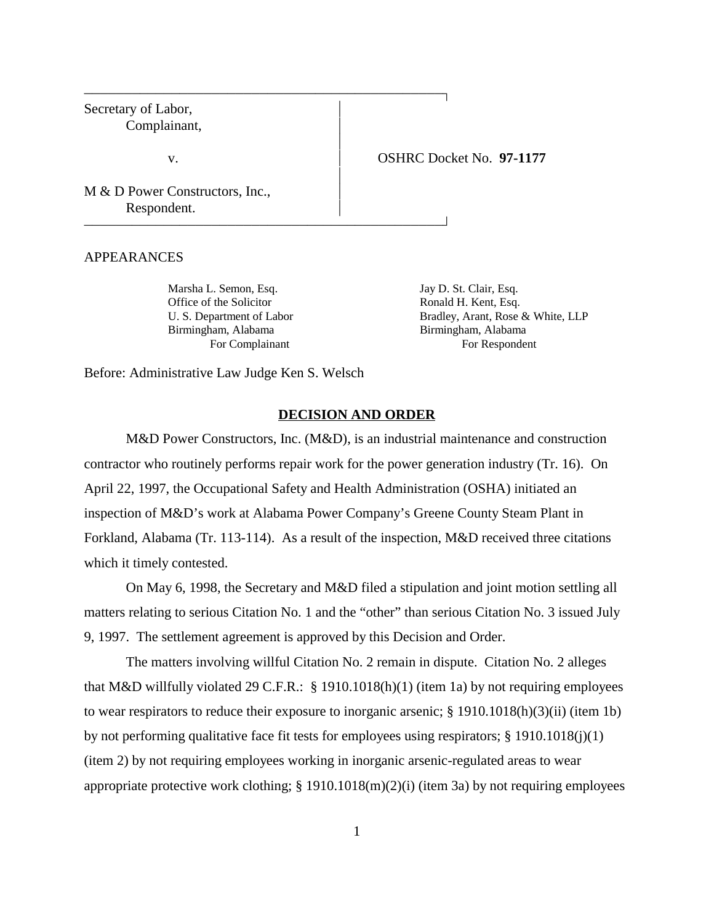Secretary of Labor, Complainant,

v. OSHRC Docket No. **97-1177**

M & D Power Constructors, Inc., Respondent.

APPEARANCES

Marsha L. Semon, Esq. Jay D. St. Clair, Esq. Office of the Solicitor Ronald H. Kent, Esq. Birmingham, Alabama Birmingham, Alabama

 

 

U. S. Department of Labor Bradley, Arant, Rose & White, LLP For Complainant For Respondent

Before: Administrative Law Judge Ken S. Welsch

#### **DECISION AND ORDER**

 $\overline{1}$ 

 $\overline{1}$ 

M&D Power Constructors, Inc. (M&D), is an industrial maintenance and construction contractor who routinely performs repair work for the power generation industry (Tr. 16). On April 22, 1997, the Occupational Safety and Health Administration (OSHA) initiated an inspection of M&D's work at Alabama Power Company's Greene County Steam Plant in Forkland, Alabama (Tr. 113-114). As a result of the inspection, M&D received three citations which it timely contested.

On May 6, 1998, the Secretary and M&D filed a stipulation and joint motion settling all matters relating to serious Citation No. 1 and the "other" than serious Citation No. 3 issued July 9, 1997. The settlement agreement is approved by this Decision and Order.

The matters involving willful Citation No. 2 remain in dispute. Citation No. 2 alleges that M&D willfully violated 29 C.F.R.: § 1910.1018(h)(1) (item 1a) by not requiring employees to wear respirators to reduce their exposure to inorganic arsenic; § 1910.1018(h)(3)(ii) (item 1b) by not performing qualitative face fit tests for employees using respirators;  $\S$  1910.1018(j)(1) (item 2) by not requiring employees working in inorganic arsenic-regulated areas to wear appropriate protective work clothing; § 1910.1018(m)(2)(i) (item 3a) by not requiring employees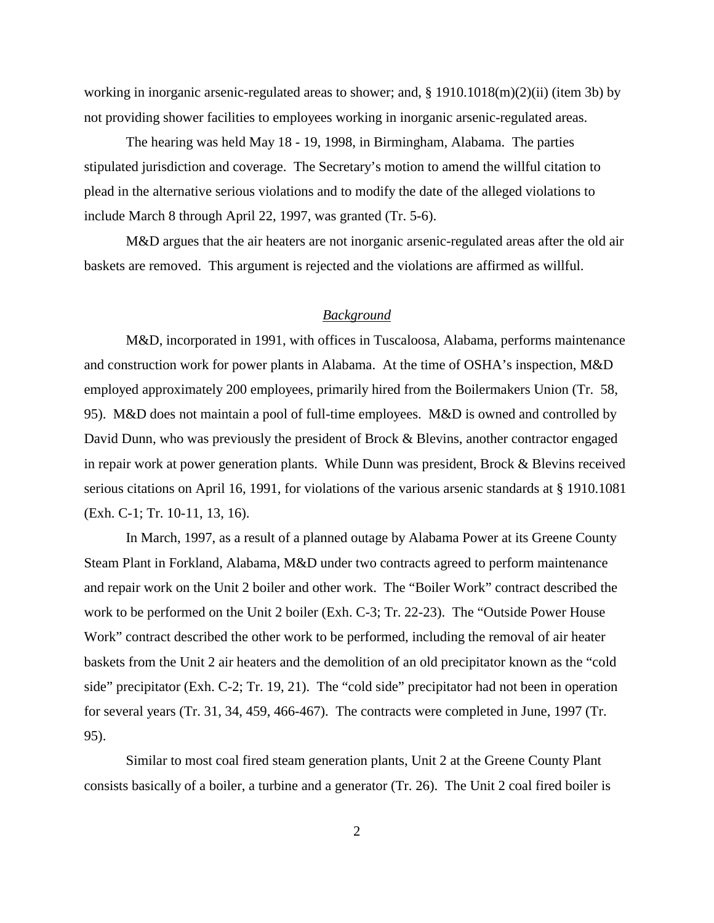working in inorganic arsenic-regulated areas to shower; and, § 1910.1018(m)(2)(ii) (item 3b) by not providing shower facilities to employees working in inorganic arsenic-regulated areas.

The hearing was held May 18 - 19, 1998, in Birmingham, Alabama. The parties stipulated jurisdiction and coverage. The Secretary's motion to amend the willful citation to plead in the alternative serious violations and to modify the date of the alleged violations to include March 8 through April 22, 1997, was granted (Tr. 5-6).

M&D argues that the air heaters are not inorganic arsenic-regulated areas after the old air baskets are removed. This argument is rejected and the violations are affirmed as willful.

# *Background*

M&D, incorporated in 1991, with offices in Tuscaloosa, Alabama, performs maintenance and construction work for power plants in Alabama. At the time of OSHA's inspection, M&D employed approximately 200 employees, primarily hired from the Boilermakers Union (Tr. 58, 95). M&D does not maintain a pool of full-time employees. M&D is owned and controlled by David Dunn, who was previously the president of Brock & Blevins, another contractor engaged in repair work at power generation plants. While Dunn was president, Brock & Blevins received serious citations on April 16, 1991, for violations of the various arsenic standards at § 1910.1081 (Exh. C-1; Tr. 10-11, 13, 16).

In March, 1997, as a result of a planned outage by Alabama Power at its Greene County Steam Plant in Forkland, Alabama, M&D under two contracts agreed to perform maintenance and repair work on the Unit 2 boiler and other work. The "Boiler Work" contract described the work to be performed on the Unit 2 boiler (Exh. C-3; Tr. 22-23). The "Outside Power House Work" contract described the other work to be performed, including the removal of air heater baskets from the Unit 2 air heaters and the demolition of an old precipitator known as the "cold side" precipitator (Exh. C-2; Tr. 19, 21). The "cold side" precipitator had not been in operation for several years (Tr. 31, 34, 459, 466-467). The contracts were completed in June, 1997 (Tr. 95).

Similar to most coal fired steam generation plants, Unit 2 at the Greene County Plant consists basically of a boiler, a turbine and a generator (Tr. 26). The Unit 2 coal fired boiler is

2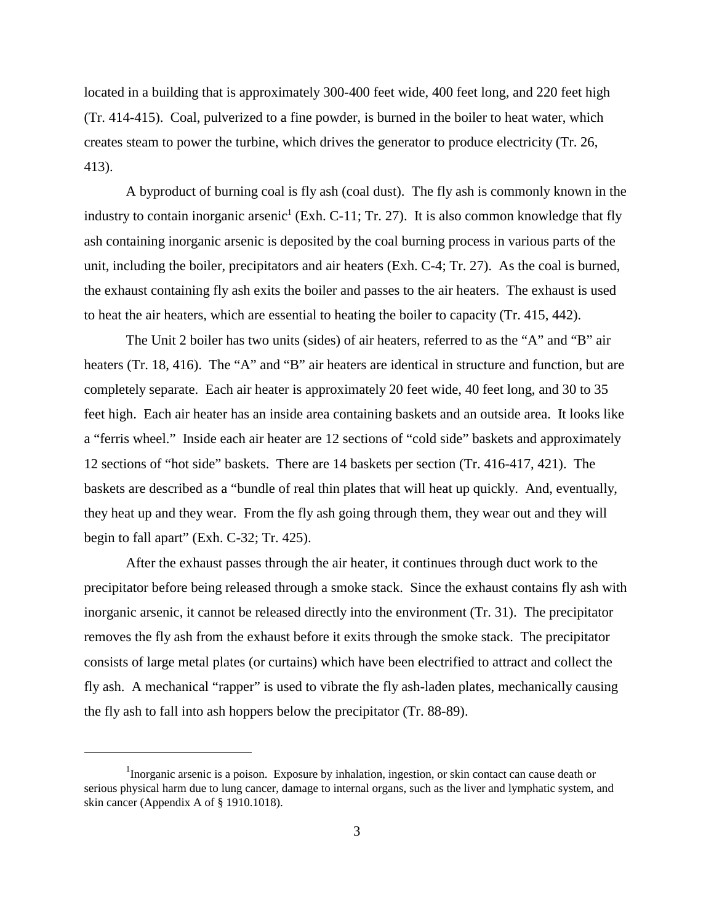located in a building that is approximately 300-400 feet wide, 400 feet long, and 220 feet high (Tr. 414-415). Coal, pulverized to a fine powder, is burned in the boiler to heat water, which creates steam to power the turbine, which drives the generator to produce electricity (Tr. 26, 413).

A byproduct of burning coal is fly ash (coal dust). The fly ash is commonly known in the industry to contain inorganic arsenic<sup>1</sup> (Exh. C-11; Tr. 27). It is also common knowledge that fly ash containing inorganic arsenic is deposited by the coal burning process in various parts of the unit, including the boiler, precipitators and air heaters (Exh. C-4; Tr. 27). As the coal is burned, the exhaust containing fly ash exits the boiler and passes to the air heaters. The exhaust is used to heat the air heaters, which are essential to heating the boiler to capacity (Tr. 415, 442).

The Unit 2 boiler has two units (sides) of air heaters, referred to as the "A" and "B" air heaters (Tr. 18, 416). The "A" and "B" air heaters are identical in structure and function, but are completely separate. Each air heater is approximately 20 feet wide, 40 feet long, and 30 to 35 feet high. Each air heater has an inside area containing baskets and an outside area. It looks like a "ferris wheel." Inside each air heater are 12 sections of "cold side" baskets and approximately 12 sections of "hot side" baskets. There are 14 baskets per section (Tr. 416-417, 421). The baskets are described as a "bundle of real thin plates that will heat up quickly. And, eventually, they heat up and they wear. From the fly ash going through them, they wear out and they will begin to fall apart" (Exh. C-32; Tr. 425).

After the exhaust passes through the air heater, it continues through duct work to the precipitator before being released through a smoke stack. Since the exhaust contains fly ash with inorganic arsenic, it cannot be released directly into the environment (Tr. 31). The precipitator removes the fly ash from the exhaust before it exits through the smoke stack. The precipitator consists of large metal plates (or curtains) which have been electrified to attract and collect the fly ash. A mechanical "rapper" is used to vibrate the fly ash-laden plates, mechanically causing the fly ash to fall into ash hoppers below the precipitator (Tr. 88-89).

<sup>&</sup>lt;sup>1</sup>Inorganic arsenic is a poison. Exposure by inhalation, ingestion, or skin contact can cause death or serious physical harm due to lung cancer, damage to internal organs, such as the liver and lymphatic system, and skin cancer (Appendix A of § 1910.1018).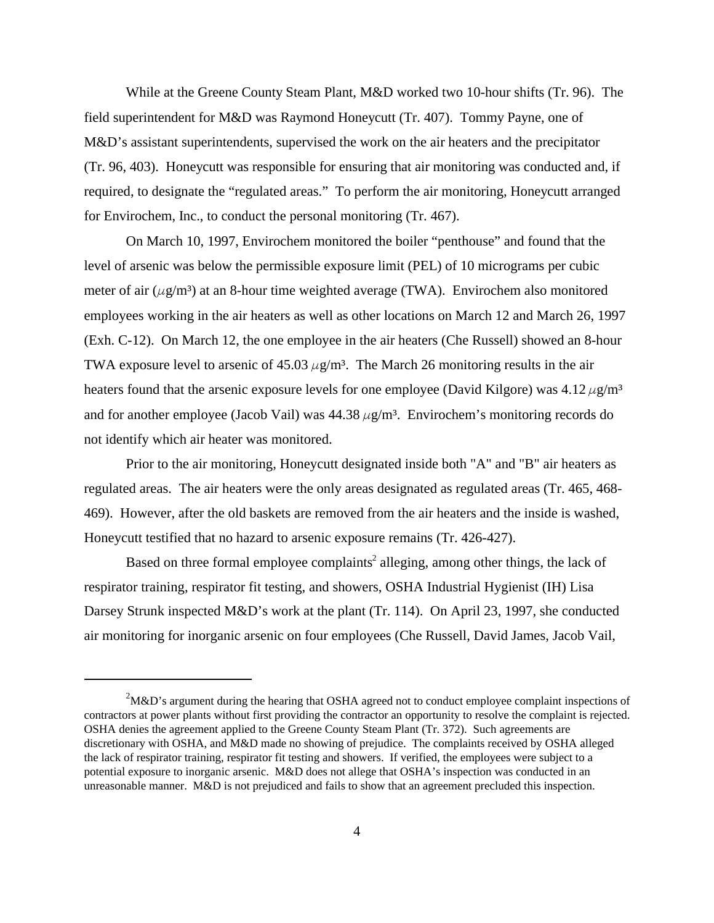While at the Greene County Steam Plant, M&D worked two 10-hour shifts (Tr. 96). The field superintendent for M&D was Raymond Honeycutt (Tr. 407). Tommy Payne, one of M&D's assistant superintendents, supervised the work on the air heaters and the precipitator (Tr. 96, 403). Honeycutt was responsible for ensuring that air monitoring was conducted and, if required, to designate the "regulated areas." To perform the air monitoring, Honeycutt arranged for Envirochem, Inc., to conduct the personal monitoring (Tr. 467).

On March 10, 1997, Envirochem monitored the boiler "penthouse" and found that the level of arsenic was below the permissible exposure limit (PEL) of 10 micrograms per cubic meter of air ( $\mu$ g/m<sup>3</sup>) at an 8-hour time weighted average (TWA). Envirochem also monitored employees working in the air heaters as well as other locations on March 12 and March 26, 1997 (Exh. C-12). On March 12, the one employee in the air heaters (Che Russell) showed an 8-hour TWA exposure level to arsenic of  $45.03 \,\mu g/m^3$ . The March 26 monitoring results in the air heaters found that the arsenic exposure levels for one employee (David Kilgore) was  $4.12 \mu g/m<sup>3</sup>$ and for another employee (Jacob Vail) was  $44.38 \,\mu g/m^3$ . Envirochem's monitoring records do not identify which air heater was monitored.

Prior to the air monitoring, Honeycutt designated inside both "A" and "B" air heaters as regulated areas. The air heaters were the only areas designated as regulated areas (Tr. 465, 468- 469). However, after the old baskets are removed from the air heaters and the inside is washed, Honeycutt testified that no hazard to arsenic exposure remains (Tr. 426-427).

Based on three formal employee complaints<sup>2</sup> alleging, among other things, the lack of respirator training, respirator fit testing, and showers, OSHA Industrial Hygienist (IH) Lisa Darsey Strunk inspected M&D's work at the plant (Tr. 114). On April 23, 1997, she conducted air monitoring for inorganic arsenic on four employees (Che Russell, David James, Jacob Vail,

 $2^2$ M&D's argument during the hearing that OSHA agreed not to conduct employee complaint inspections of contractors at power plants without first providing the contractor an opportunity to resolve the complaint is rejected. OSHA denies the agreement applied to the Greene County Steam Plant (Tr. 372). Such agreements are discretionary with OSHA, and M&D made no showing of prejudice. The complaints received by OSHA alleged the lack of respirator training, respirator fit testing and showers. If verified, the employees were subject to a potential exposure to inorganic arsenic. M&D does not allege that OSHA's inspection was conducted in an unreasonable manner. M&D is not prejudiced and fails to show that an agreement precluded this inspection.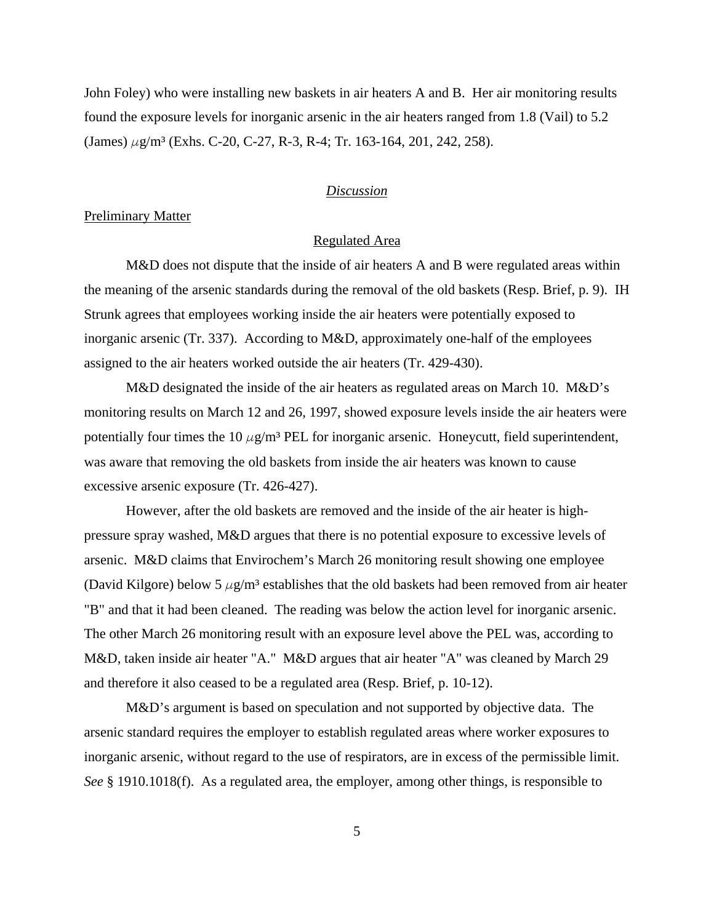John Foley) who were installing new baskets in air heaters A and B. Her air monitoring results found the exposure levels for inorganic arsenic in the air heaters ranged from 1.8 (Vail) to 5.2  $(James) \mu$ g/m³ (Exhs. C-20, C-27, R-3, R-4; Tr. 163-164, 201, 242, 258).

## *Discussion*

#### Preliminary Matter

### Regulated Area

M&D does not dispute that the inside of air heaters A and B were regulated areas within the meaning of the arsenic standards during the removal of the old baskets (Resp. Brief, p. 9). IH Strunk agrees that employees working inside the air heaters were potentially exposed to inorganic arsenic (Tr. 337). According to M&D, approximately one-half of the employees assigned to the air heaters worked outside the air heaters (Tr. 429-430).

M&D designated the inside of the air heaters as regulated areas on March 10. M&D's monitoring results on March 12 and 26, 1997, showed exposure levels inside the air heaters were potentially four times the 10  $\mu$ g/m<sup>3</sup> PEL for inorganic arsenic. Honeycutt, field superintendent, was aware that removing the old baskets from inside the air heaters was known to cause excessive arsenic exposure (Tr. 426-427).

However, after the old baskets are removed and the inside of the air heater is highpressure spray washed, M&D argues that there is no potential exposure to excessive levels of arsenic. M&D claims that Envirochem's March 26 monitoring result showing one employee (David Kilgore) below 5  $\mu$ g/m<sup>3</sup> establishes that the old baskets had been removed from air heater "B" and that it had been cleaned. The reading was below the action level for inorganic arsenic. The other March 26 monitoring result with an exposure level above the PEL was, according to M&D, taken inside air heater "A." M&D argues that air heater "A" was cleaned by March 29 and therefore it also ceased to be a regulated area (Resp. Brief, p. 10-12).

M&D's argument is based on speculation and not supported by objective data. The arsenic standard requires the employer to establish regulated areas where worker exposures to inorganic arsenic, without regard to the use of respirators, are in excess of the permissible limit. *See* § 1910.1018(f). As a regulated area, the employer, among other things, is responsible to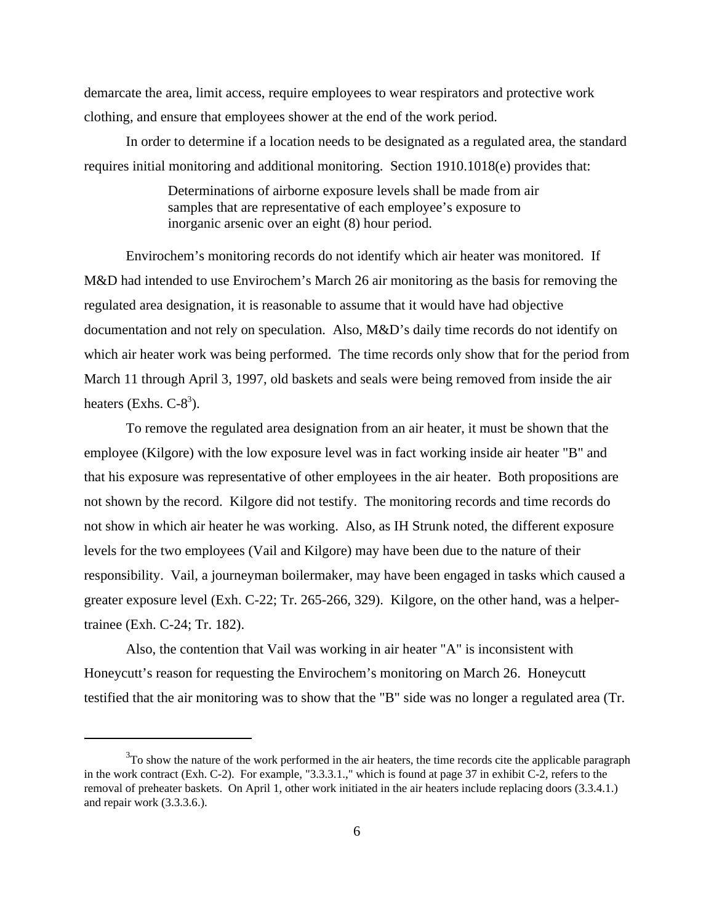demarcate the area, limit access, require employees to wear respirators and protective work clothing, and ensure that employees shower at the end of the work period.

In order to determine if a location needs to be designated as a regulated area, the standard requires initial monitoring and additional monitoring. Section 1910.1018(e) provides that:

> Determinations of airborne exposure levels shall be made from air samples that are representative of each employee's exposure to inorganic arsenic over an eight (8) hour period.

Envirochem's monitoring records do not identify which air heater was monitored. If M&D had intended to use Envirochem's March 26 air monitoring as the basis for removing the regulated area designation, it is reasonable to assume that it would have had objective documentation and not rely on speculation. Also, M&D's daily time records do not identify on which air heater work was being performed. The time records only show that for the period from March 11 through April 3, 1997, old baskets and seals were being removed from inside the air heaters (Exhs.  $C-8^3$ ).

To remove the regulated area designation from an air heater, it must be shown that the employee (Kilgore) with the low exposure level was in fact working inside air heater "B" and that his exposure was representative of other employees in the air heater. Both propositions are not shown by the record. Kilgore did not testify. The monitoring records and time records do not show in which air heater he was working. Also, as IH Strunk noted, the different exposure levels for the two employees (Vail and Kilgore) may have been due to the nature of their responsibility. Vail, a journeyman boilermaker, may have been engaged in tasks which caused a greater exposure level (Exh. C-22; Tr. 265-266, 329). Kilgore, on the other hand, was a helpertrainee (Exh. C-24; Tr. 182).

Also, the contention that Vail was working in air heater "A" is inconsistent with Honeycutt's reason for requesting the Envirochem's monitoring on March 26. Honeycutt testified that the air monitoring was to show that the "B" side was no longer a regulated area (Tr.

 $3$ To show the nature of the work performed in the air heaters, the time records cite the applicable paragraph in the work contract (Exh. C-2). For example, "3.3.3.1.," which is found at page 37 in exhibit C-2, refers to the removal of preheater baskets. On April 1, other work initiated in the air heaters include replacing doors (3.3.4.1.) and repair work (3.3.3.6.).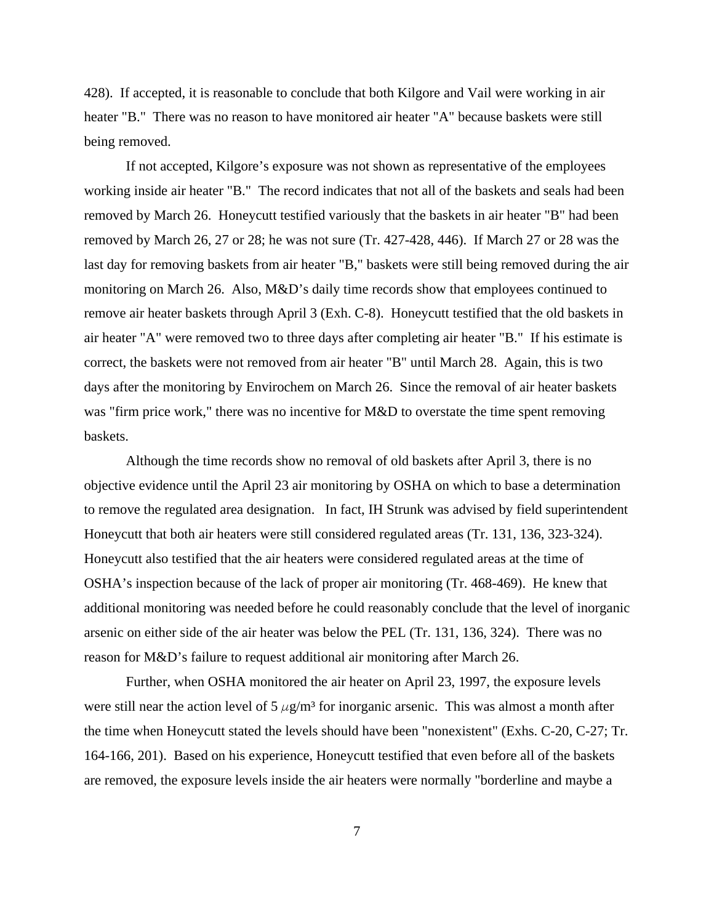428). If accepted, it is reasonable to conclude that both Kilgore and Vail were working in air heater "B." There was no reason to have monitored air heater "A" because baskets were still being removed.

If not accepted, Kilgore's exposure was not shown as representative of the employees working inside air heater "B." The record indicates that not all of the baskets and seals had been removed by March 26. Honeycutt testified variously that the baskets in air heater "B" had been removed by March 26, 27 or 28; he was not sure (Tr. 427-428, 446). If March 27 or 28 was the last day for removing baskets from air heater "B," baskets were still being removed during the air monitoring on March 26. Also, M&D's daily time records show that employees continued to remove air heater baskets through April 3 (Exh. C-8). Honeycutt testified that the old baskets in air heater "A" were removed two to three days after completing air heater "B." If his estimate is correct, the baskets were not removed from air heater "B" until March 28. Again, this is two days after the monitoring by Envirochem on March 26. Since the removal of air heater baskets was "firm price work," there was no incentive for M&D to overstate the time spent removing baskets.

Although the time records show no removal of old baskets after April 3, there is no objective evidence until the April 23 air monitoring by OSHA on which to base a determination to remove the regulated area designation. In fact, IH Strunk was advised by field superintendent Honeycutt that both air heaters were still considered regulated areas (Tr. 131, 136, 323-324). Honeycutt also testified that the air heaters were considered regulated areas at the time of OSHA's inspection because of the lack of proper air monitoring (Tr. 468-469). He knew that additional monitoring was needed before he could reasonably conclude that the level of inorganic arsenic on either side of the air heater was below the PEL (Tr. 131, 136, 324). There was no reason for M&D's failure to request additional air monitoring after March 26.

Further, when OSHA monitored the air heater on April 23, 1997, the exposure levels were still near the action level of  $5 \mu g/m^3$  for inorganic arsenic. This was almost a month after the time when Honeycutt stated the levels should have been "nonexistent" (Exhs. C-20, C-27; Tr. 164-166, 201). Based on his experience, Honeycutt testified that even before all of the baskets are removed, the exposure levels inside the air heaters were normally "borderline and maybe a

7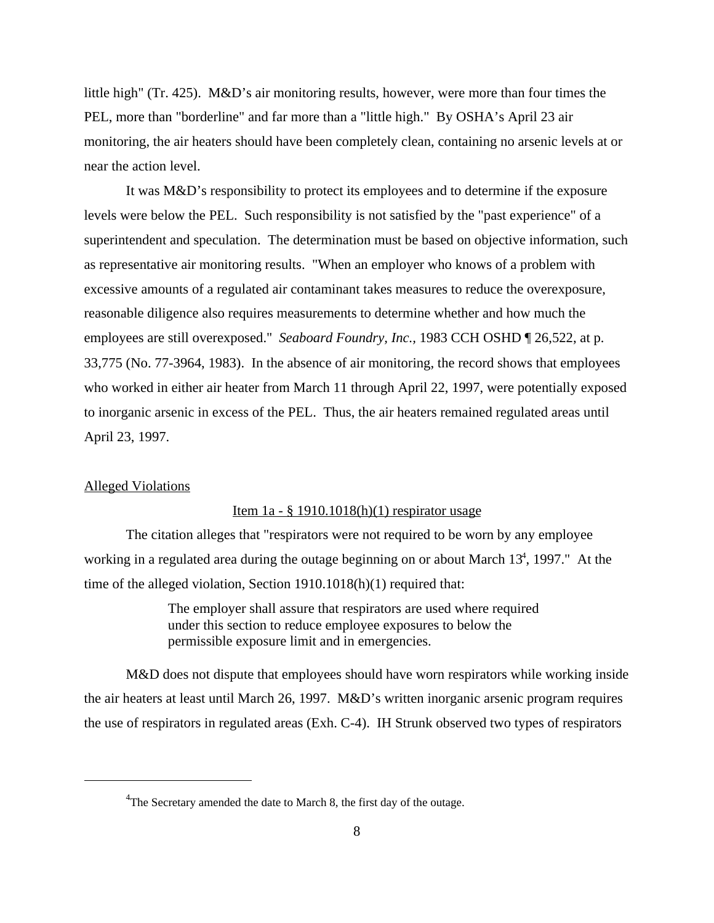little high" (Tr. 425). M&D's air monitoring results, however, were more than four times the PEL, more than "borderline" and far more than a "little high." By OSHA's April 23 air monitoring, the air heaters should have been completely clean, containing no arsenic levels at or near the action level.

It was M&D's responsibility to protect its employees and to determine if the exposure levels were below the PEL. Such responsibility is not satisfied by the "past experience" of a superintendent and speculation. The determination must be based on objective information, such as representative air monitoring results. "When an employer who knows of a problem with excessive amounts of a regulated air contaminant takes measures to reduce the overexposure, reasonable diligence also requires measurements to determine whether and how much the employees are still overexposed." *Seaboard Foundry, Inc.*, 1983 CCH OSHD ¶ 26,522, at p. 33,775 (No. 77-3964, 1983). In the absence of air monitoring, the record shows that employees who worked in either air heater from March 11 through April 22, 1997, were potentially exposed to inorganic arsenic in excess of the PEL. Thus, the air heaters remained regulated areas until April 23, 1997.

#### Alleged Violations

### Item 1a - § 1910.1018(h)(1) respirator usage

The citation alleges that "respirators were not required to be worn by any employee working in a regulated area during the outage beginning on or about March  $13<sup>4</sup>$ , 1997." At the time of the alleged violation, Section 1910.1018(h)(1) required that:

> The employer shall assure that respirators are used where required under this section to reduce employee exposures to below the permissible exposure limit and in emergencies.

M&D does not dispute that employees should have worn respirators while working inside the air heaters at least until March 26, 1997. M&D's written inorganic arsenic program requires the use of respirators in regulated areas (Exh. C-4). IH Strunk observed two types of respirators

<sup>&</sup>lt;sup>4</sup>The Secretary amended the date to March 8, the first day of the outage.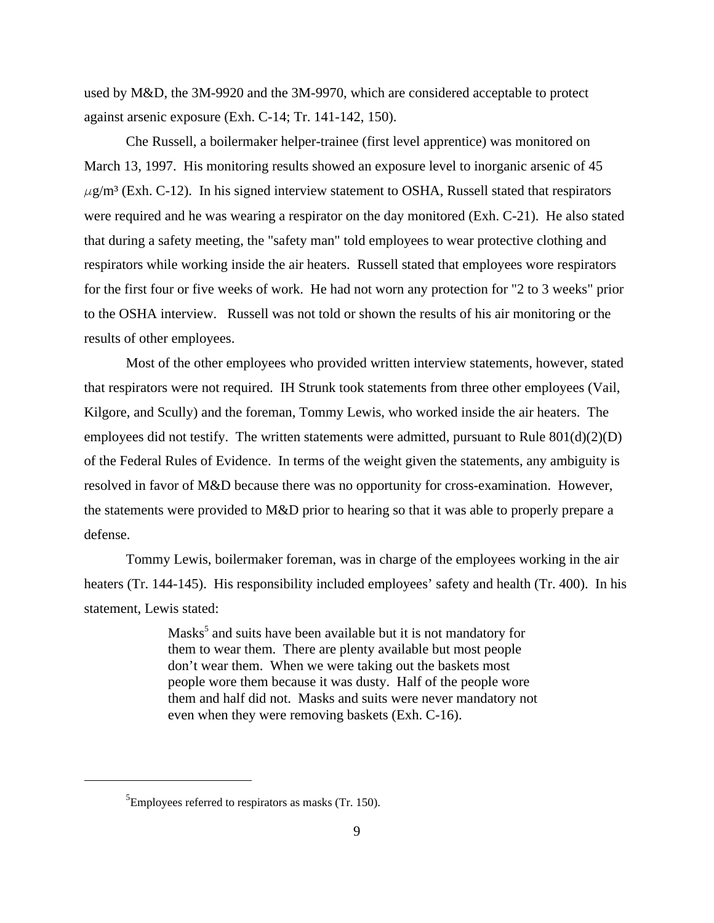used by M&D, the 3M-9920 and the 3M-9970, which are considered acceptable to protect against arsenic exposure (Exh. C-14; Tr. 141-142, 150).

Che Russell, a boilermaker helper-trainee (first level apprentice) was monitored on March 13, 1997. His monitoring results showed an exposure level to inorganic arsenic of 45  $\mu$ g/m<sup>3</sup> (Exh. C-12). In his signed interview statement to OSHA, Russell stated that respirators were required and he was wearing a respirator on the day monitored (Exh. C-21). He also stated that during a safety meeting, the "safety man" told employees to wear protective clothing and respirators while working inside the air heaters. Russell stated that employees wore respirators for the first four or five weeks of work. He had not worn any protection for "2 to 3 weeks" prior to the OSHA interview. Russell was not told or shown the results of his air monitoring or the results of other employees.

Most of the other employees who provided written interview statements, however, stated that respirators were not required. IH Strunk took statements from three other employees (Vail, Kilgore, and Scully) and the foreman, Tommy Lewis, who worked inside the air heaters. The employees did not testify. The written statements were admitted, pursuant to Rule  $801(d)(2)(D)$ of the Federal Rules of Evidence. In terms of the weight given the statements, any ambiguity is resolved in favor of M&D because there was no opportunity for cross-examination. However, the statements were provided to M&D prior to hearing so that it was able to properly prepare a defense.

Tommy Lewis, boilermaker foreman, was in charge of the employees working in the air heaters (Tr. 144-145). His responsibility included employees' safety and health (Tr. 400). In his statement, Lewis stated:

> Masks<sup>5</sup> and suits have been available but it is not mandatory for them to wear them. There are plenty available but most people don't wear them. When we were taking out the baskets most people wore them because it was dusty. Half of the people wore them and half did not. Masks and suits were never mandatory not even when they were removing baskets (Exh. C-16).

 ${}^{5}$ Employees referred to respirators as masks (Tr. 150).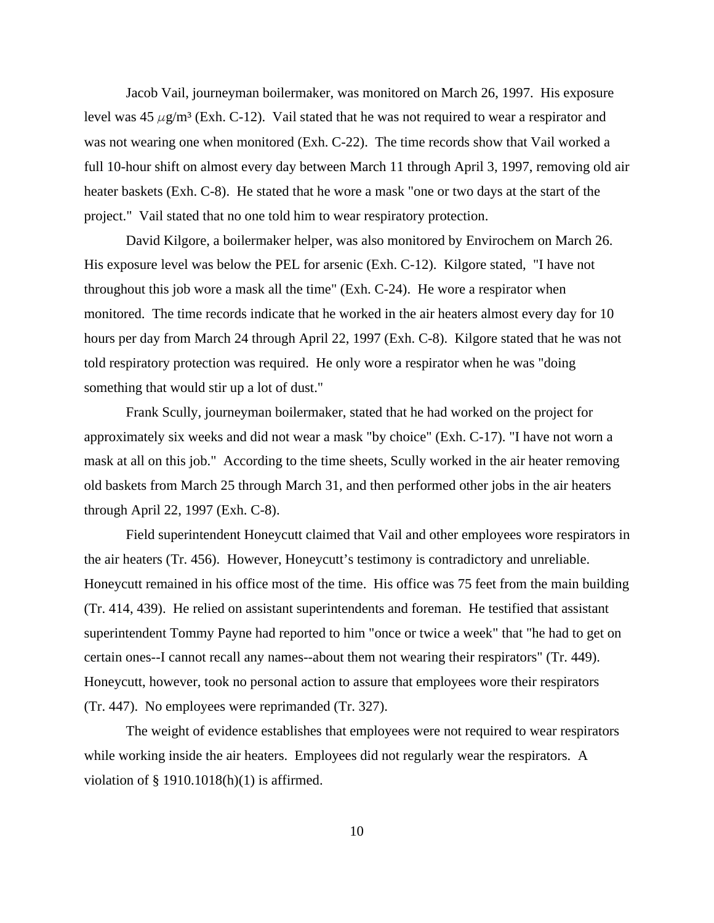Jacob Vail, journeyman boilermaker, was monitored on March 26, 1997. His exposure level was 45  $\mu$ g/m<sup>3</sup> (Exh. C-12). Vail stated that he was not required to wear a respirator and was not wearing one when monitored (Exh. C-22). The time records show that Vail worked a full 10-hour shift on almost every day between March 11 through April 3, 1997, removing old air heater baskets (Exh. C-8). He stated that he wore a mask "one or two days at the start of the project." Vail stated that no one told him to wear respiratory protection.

David Kilgore, a boilermaker helper, was also monitored by Envirochem on March 26. His exposure level was below the PEL for arsenic (Exh. C-12). Kilgore stated, "I have not throughout this job wore a mask all the time" (Exh. C-24). He wore a respirator when monitored. The time records indicate that he worked in the air heaters almost every day for 10 hours per day from March 24 through April 22, 1997 (Exh. C-8). Kilgore stated that he was not told respiratory protection was required. He only wore a respirator when he was "doing something that would stir up a lot of dust."

Frank Scully, journeyman boilermaker, stated that he had worked on the project for approximately six weeks and did not wear a mask "by choice" (Exh. C-17). "I have not worn a mask at all on this job." According to the time sheets, Scully worked in the air heater removing old baskets from March 25 through March 31, and then performed other jobs in the air heaters through April 22, 1997 (Exh. C-8).

Field superintendent Honeycutt claimed that Vail and other employees wore respirators in the air heaters (Tr. 456). However, Honeycutt's testimony is contradictory and unreliable. Honeycutt remained in his office most of the time. His office was 75 feet from the main building (Tr. 414, 439). He relied on assistant superintendents and foreman. He testified that assistant superintendent Tommy Payne had reported to him "once or twice a week" that "he had to get on certain ones--I cannot recall any names--about them not wearing their respirators" (Tr. 449). Honeycutt, however, took no personal action to assure that employees wore their respirators (Tr. 447). No employees were reprimanded (Tr. 327).

The weight of evidence establishes that employees were not required to wear respirators while working inside the air heaters. Employees did not regularly wear the respirators. A violation of  $\S$  1910.1018(h)(1) is affirmed.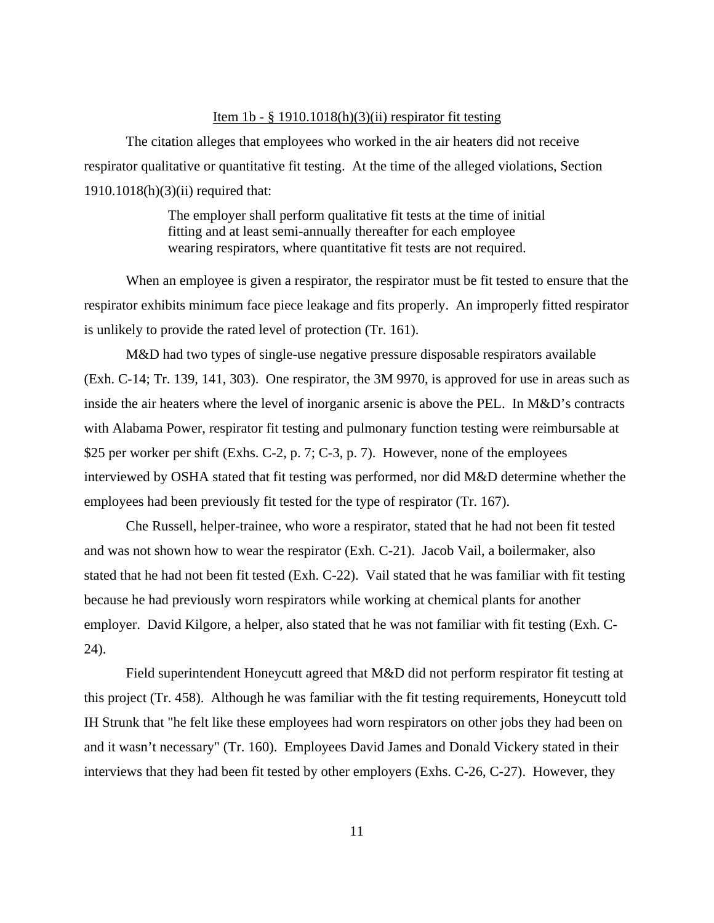## Item  $1b - \frac{8}{9}$  1910.1018(h)(3)(ii) respirator fit testing

The citation alleges that employees who worked in the air heaters did not receive respirator qualitative or quantitative fit testing. At the time of the alleged violations, Section 1910.1018(h)(3)(ii) required that:

> The employer shall perform qualitative fit tests at the time of initial fitting and at least semi-annually thereafter for each employee wearing respirators, where quantitative fit tests are not required.

When an employee is given a respirator, the respirator must be fit tested to ensure that the respirator exhibits minimum face piece leakage and fits properly. An improperly fitted respirator is unlikely to provide the rated level of protection (Tr. 161).

M&D had two types of single-use negative pressure disposable respirators available (Exh. C-14; Tr. 139, 141, 303). One respirator, the 3M 9970, is approved for use in areas such as inside the air heaters where the level of inorganic arsenic is above the PEL. In M&D's contracts with Alabama Power, respirator fit testing and pulmonary function testing were reimbursable at \$25 per worker per shift (Exhs. C-2, p. 7; C-3, p. 7). However, none of the employees interviewed by OSHA stated that fit testing was performed, nor did M&D determine whether the employees had been previously fit tested for the type of respirator (Tr. 167).

Che Russell, helper-trainee, who wore a respirator, stated that he had not been fit tested and was not shown how to wear the respirator (Exh. C-21). Jacob Vail, a boilermaker, also stated that he had not been fit tested (Exh. C-22). Vail stated that he was familiar with fit testing because he had previously worn respirators while working at chemical plants for another employer. David Kilgore, a helper, also stated that he was not familiar with fit testing (Exh. C-24).

Field superintendent Honeycutt agreed that M&D did not perform respirator fit testing at this project (Tr. 458). Although he was familiar with the fit testing requirements, Honeycutt told IH Strunk that "he felt like these employees had worn respirators on other jobs they had been on and it wasn't necessary" (Tr. 160). Employees David James and Donald Vickery stated in their interviews that they had been fit tested by other employers (Exhs. C-26, C-27). However, they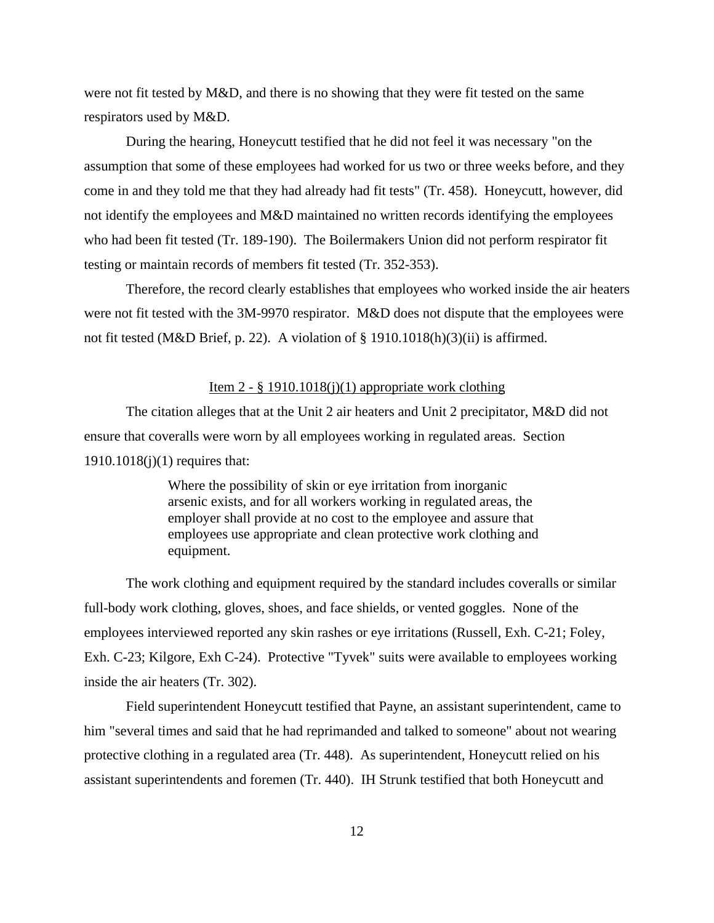were not fit tested by M&D, and there is no showing that they were fit tested on the same respirators used by M&D.

During the hearing, Honeycutt testified that he did not feel it was necessary "on the assumption that some of these employees had worked for us two or three weeks before, and they come in and they told me that they had already had fit tests" (Tr. 458). Honeycutt, however, did not identify the employees and M&D maintained no written records identifying the employees who had been fit tested (Tr. 189-190). The Boilermakers Union did not perform respirator fit testing or maintain records of members fit tested (Tr. 352-353).

Therefore, the record clearly establishes that employees who worked inside the air heaters were not fit tested with the 3M-9970 respirator. M&D does not dispute that the employees were not fit tested (M&D Brief, p. 22). A violation of § 1910.1018(h)(3)(ii) is affirmed.

### Item 2 -  $\S$  1910.1018(j)(1) appropriate work clothing

The citation alleges that at the Unit 2 air heaters and Unit 2 precipitator, M&D did not ensure that coveralls were worn by all employees working in regulated areas. Section 1910.1018(j)(1) requires that:

> Where the possibility of skin or eye irritation from inorganic arsenic exists, and for all workers working in regulated areas, the employer shall provide at no cost to the employee and assure that employees use appropriate and clean protective work clothing and equipment.

The work clothing and equipment required by the standard includes coveralls or similar full-body work clothing, gloves, shoes, and face shields, or vented goggles. None of the employees interviewed reported any skin rashes or eye irritations (Russell, Exh. C-21; Foley, Exh. C-23; Kilgore, Exh C-24). Protective "Tyvek" suits were available to employees working inside the air heaters (Tr. 302).

Field superintendent Honeycutt testified that Payne, an assistant superintendent, came to him "several times and said that he had reprimanded and talked to someone" about not wearing protective clothing in a regulated area (Tr. 448). As superintendent, Honeycutt relied on his assistant superintendents and foremen (Tr. 440). IH Strunk testified that both Honeycutt and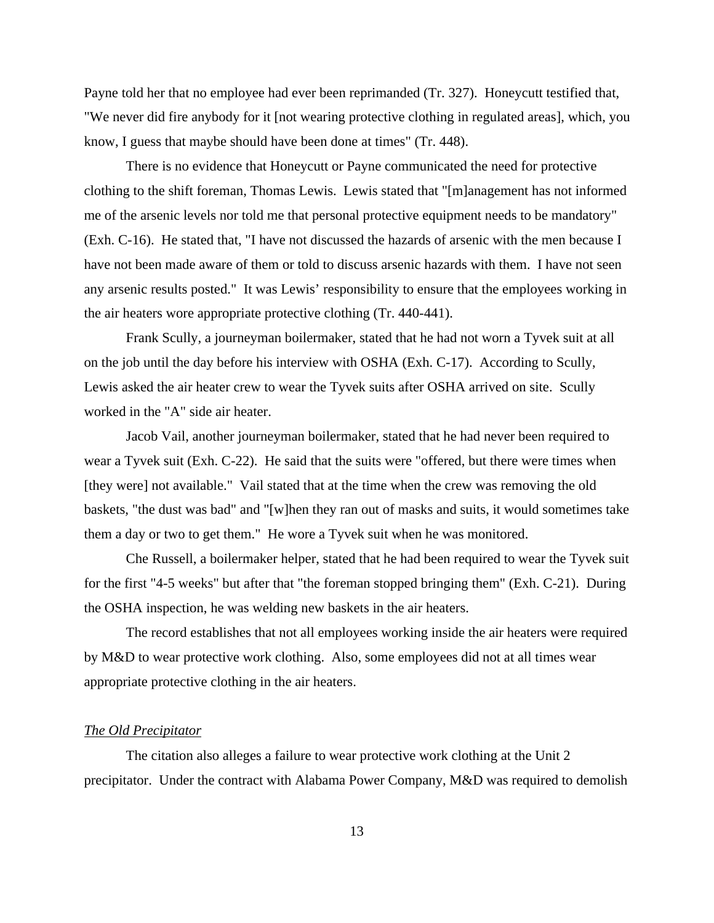Payne told her that no employee had ever been reprimanded (Tr. 327). Honeycutt testified that, "We never did fire anybody for it [not wearing protective clothing in regulated areas], which, you know, I guess that maybe should have been done at times" (Tr. 448).

There is no evidence that Honeycutt or Payne communicated the need for protective clothing to the shift foreman, Thomas Lewis. Lewis stated that "[m]anagement has not informed me of the arsenic levels nor told me that personal protective equipment needs to be mandatory" (Exh. C-16). He stated that, "I have not discussed the hazards of arsenic with the men because I have not been made aware of them or told to discuss arsenic hazards with them. I have not seen any arsenic results posted." It was Lewis' responsibility to ensure that the employees working in the air heaters wore appropriate protective clothing (Tr. 440-441).

Frank Scully, a journeyman boilermaker, stated that he had not worn a Tyvek suit at all on the job until the day before his interview with OSHA (Exh. C-17). According to Scully, Lewis asked the air heater crew to wear the Tyvek suits after OSHA arrived on site. Scully worked in the "A" side air heater.

Jacob Vail, another journeyman boilermaker, stated that he had never been required to wear a Tyvek suit (Exh. C-22). He said that the suits were "offered, but there were times when [they were] not available." Vail stated that at the time when the crew was removing the old baskets, "the dust was bad" and "[w]hen they ran out of masks and suits, it would sometimes take them a day or two to get them." He wore a Tyvek suit when he was monitored.

Che Russell, a boilermaker helper, stated that he had been required to wear the Tyvek suit for the first "4-5 weeks" but after that "the foreman stopped bringing them" (Exh. C-21). During the OSHA inspection, he was welding new baskets in the air heaters.

The record establishes that not all employees working inside the air heaters were required by M&D to wear protective work clothing. Also, some employees did not at all times wear appropriate protective clothing in the air heaters.

### *The Old Precipitator*

The citation also alleges a failure to wear protective work clothing at the Unit 2 precipitator. Under the contract with Alabama Power Company, M&D was required to demolish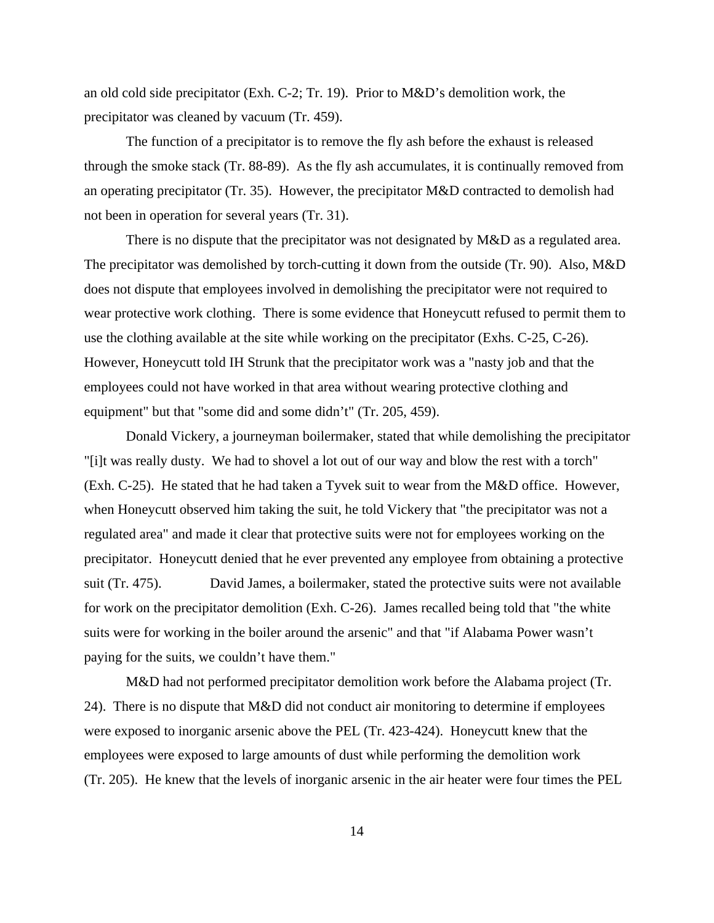an old cold side precipitator (Exh. C-2; Tr. 19). Prior to M&D's demolition work, the precipitator was cleaned by vacuum (Tr. 459).

The function of a precipitator is to remove the fly ash before the exhaust is released through the smoke stack (Tr. 88-89). As the fly ash accumulates, it is continually removed from an operating precipitator (Tr. 35). However, the precipitator M&D contracted to demolish had not been in operation for several years (Tr. 31).

There is no dispute that the precipitator was not designated by M&D as a regulated area. The precipitator was demolished by torch-cutting it down from the outside (Tr. 90). Also, M&D does not dispute that employees involved in demolishing the precipitator were not required to wear protective work clothing. There is some evidence that Honeycutt refused to permit them to use the clothing available at the site while working on the precipitator (Exhs. C-25, C-26). However, Honeycutt told IH Strunk that the precipitator work was a "nasty job and that the employees could not have worked in that area without wearing protective clothing and equipment" but that "some did and some didn't" (Tr. 205, 459).

Donald Vickery, a journeyman boilermaker, stated that while demolishing the precipitator "[i]t was really dusty. We had to shovel a lot out of our way and blow the rest with a torch" (Exh. C-25). He stated that he had taken a Tyvek suit to wear from the M&D office. However, when Honeycutt observed him taking the suit, he told Vickery that "the precipitator was not a regulated area" and made it clear that protective suits were not for employees working on the precipitator. Honeycutt denied that he ever prevented any employee from obtaining a protective suit (Tr. 475). David James, a boilermaker, stated the protective suits were not available for work on the precipitator demolition (Exh. C-26). James recalled being told that "the white suits were for working in the boiler around the arsenic" and that "if Alabama Power wasn't paying for the suits, we couldn't have them."

M&D had not performed precipitator demolition work before the Alabama project (Tr. 24). There is no dispute that M&D did not conduct air monitoring to determine if employees were exposed to inorganic arsenic above the PEL (Tr. 423-424). Honeycutt knew that the employees were exposed to large amounts of dust while performing the demolition work (Tr. 205). He knew that the levels of inorganic arsenic in the air heater were four times the PEL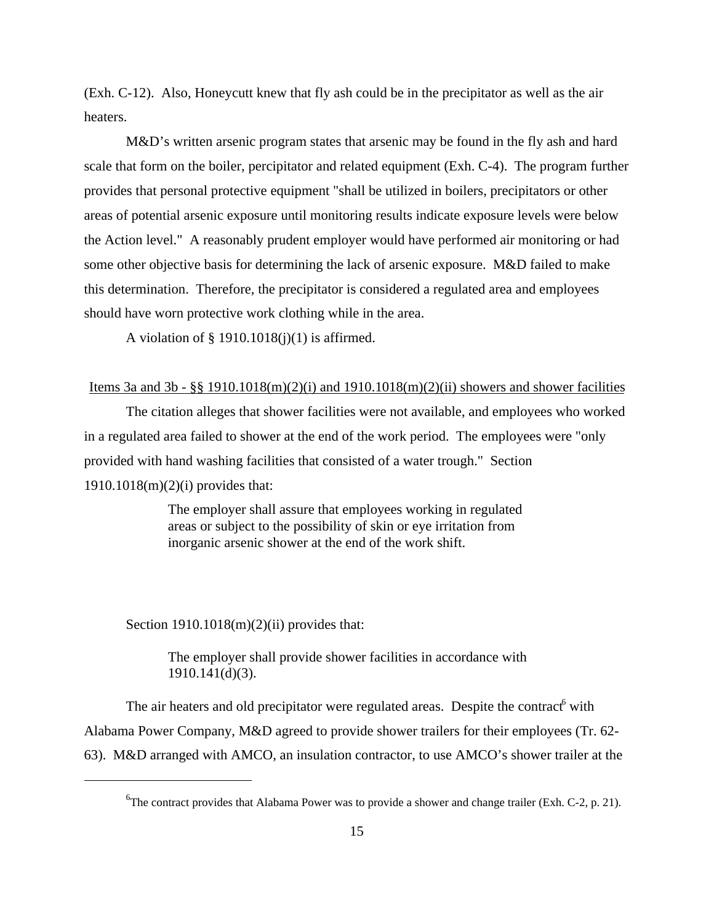(Exh. C-12). Also, Honeycutt knew that fly ash could be in the precipitator as well as the air heaters.

M&D's written arsenic program states that arsenic may be found in the fly ash and hard scale that form on the boiler, percipitator and related equipment (Exh. C-4). The program further provides that personal protective equipment "shall be utilized in boilers, precipitators or other areas of potential arsenic exposure until monitoring results indicate exposure levels were below the Action level." A reasonably prudent employer would have performed air monitoring or had some other objective basis for determining the lack of arsenic exposure. M&D failed to make this determination. Therefore, the precipitator is considered a regulated area and employees should have worn protective work clothing while in the area.

A violation of  $\S$  1910.1018(j)(1) is affirmed.

# Items 3a and 3b - §§ 1910.1018(m)(2)(i) and 1910.1018(m)(2)(ii) showers and shower facilities

The citation alleges that shower facilities were not available, and employees who worked in a regulated area failed to shower at the end of the work period. The employees were "only provided with hand washing facilities that consisted of a water trough." Section 1910.1018(m)(2)(i) provides that:

> The employer shall assure that employees working in regulated areas or subject to the possibility of skin or eye irritation from inorganic arsenic shower at the end of the work shift.

Section  $1910.1018(m)(2)(ii)$  provides that:

The employer shall provide shower facilities in accordance with 1910.141(d)(3).

The air heaters and old precipitator were regulated areas. Despite the contract<sup>6</sup> with Alabama Power Company, M&D agreed to provide shower trailers for their employees (Tr. 62- 63). M&D arranged with AMCO, an insulation contractor, to use AMCO's shower trailer at the

<sup>&</sup>lt;sup>6</sup>The contract provides that Alabama Power was to provide a shower and change trailer (Exh. C-2, p. 21).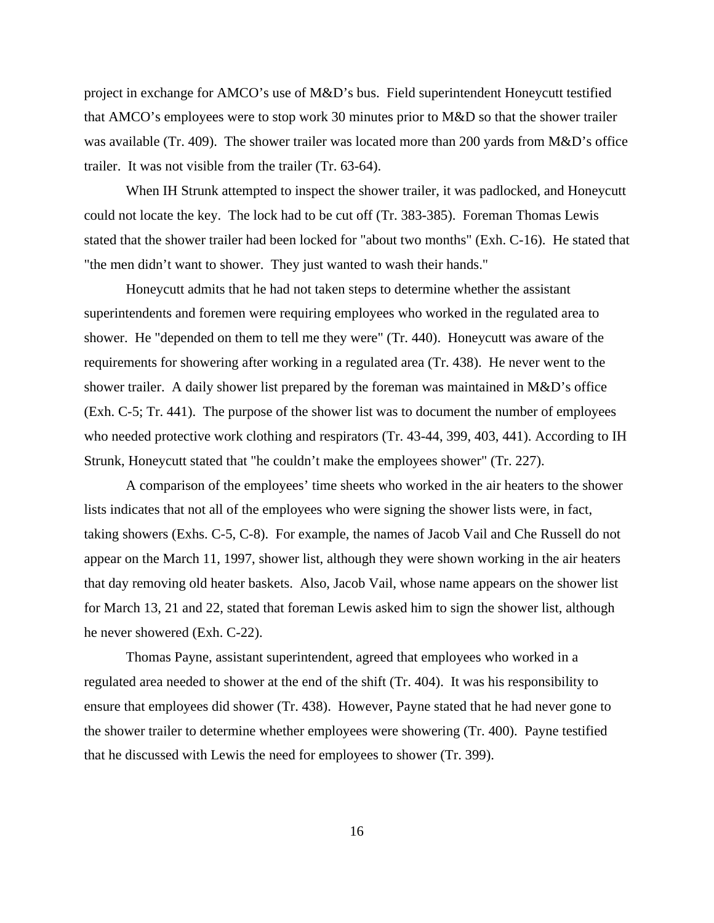project in exchange for AMCO's use of M&D's bus. Field superintendent Honeycutt testified that AMCO's employees were to stop work 30 minutes prior to M&D so that the shower trailer was available (Tr. 409). The shower trailer was located more than 200 yards from M&D's office trailer. It was not visible from the trailer (Tr. 63-64).

When IH Strunk attempted to inspect the shower trailer, it was padlocked, and Honeycutt could not locate the key. The lock had to be cut off (Tr. 383-385). Foreman Thomas Lewis stated that the shower trailer had been locked for "about two months" (Exh. C-16). He stated that "the men didn't want to shower. They just wanted to wash their hands."

Honeycutt admits that he had not taken steps to determine whether the assistant superintendents and foremen were requiring employees who worked in the regulated area to shower. He "depended on them to tell me they were" (Tr. 440). Honeycutt was aware of the requirements for showering after working in a regulated area (Tr. 438). He never went to the shower trailer. A daily shower list prepared by the foreman was maintained in M&D's office (Exh. C-5; Tr. 441). The purpose of the shower list was to document the number of employees who needed protective work clothing and respirators (Tr. 43-44, 399, 403, 441). According to IH Strunk, Honeycutt stated that "he couldn't make the employees shower" (Tr. 227).

A comparison of the employees' time sheets who worked in the air heaters to the shower lists indicates that not all of the employees who were signing the shower lists were, in fact, taking showers (Exhs. C-5, C-8). For example, the names of Jacob Vail and Che Russell do not appear on the March 11, 1997, shower list, although they were shown working in the air heaters that day removing old heater baskets. Also, Jacob Vail, whose name appears on the shower list for March 13, 21 and 22, stated that foreman Lewis asked him to sign the shower list, although he never showered (Exh. C-22).

Thomas Payne, assistant superintendent, agreed that employees who worked in a regulated area needed to shower at the end of the shift (Tr. 404). It was his responsibility to ensure that employees did shower (Tr. 438). However, Payne stated that he had never gone to the shower trailer to determine whether employees were showering (Tr. 400). Payne testified that he discussed with Lewis the need for employees to shower (Tr. 399).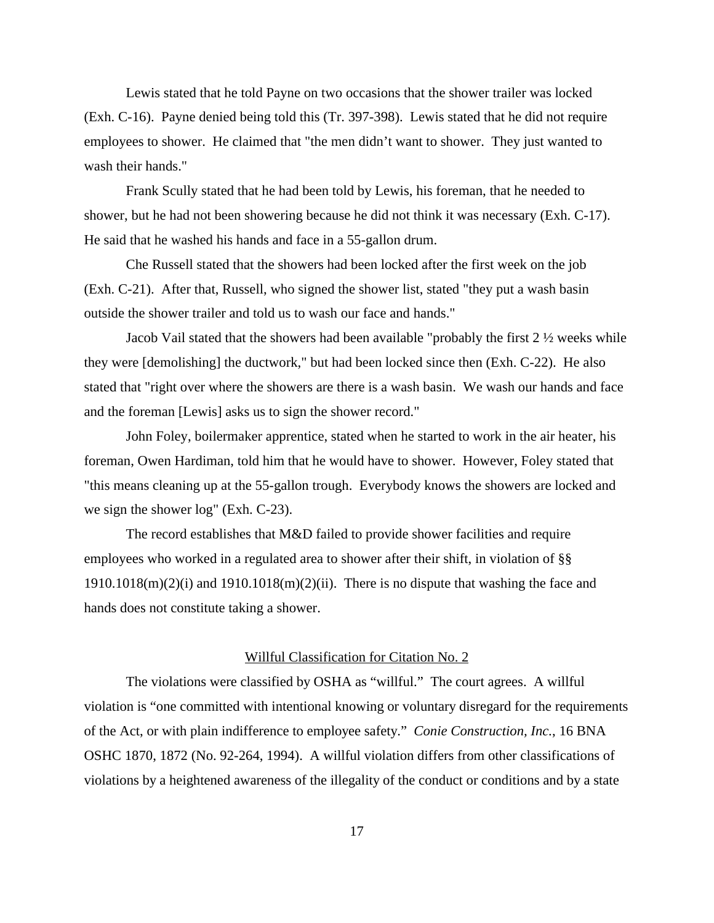Lewis stated that he told Payne on two occasions that the shower trailer was locked (Exh. C-16). Payne denied being told this (Tr. 397-398). Lewis stated that he did not require employees to shower. He claimed that "the men didn't want to shower. They just wanted to wash their hands."

Frank Scully stated that he had been told by Lewis, his foreman, that he needed to shower, but he had not been showering because he did not think it was necessary (Exh. C-17). He said that he washed his hands and face in a 55-gallon drum.

Che Russell stated that the showers had been locked after the first week on the job (Exh. C-21). After that, Russell, who signed the shower list, stated "they put a wash basin outside the shower trailer and told us to wash our face and hands."

Jacob Vail stated that the showers had been available "probably the first 2 ½ weeks while they were [demolishing] the ductwork," but had been locked since then (Exh. C-22). He also stated that "right over where the showers are there is a wash basin. We wash our hands and face and the foreman [Lewis] asks us to sign the shower record."

John Foley, boilermaker apprentice, stated when he started to work in the air heater, his foreman, Owen Hardiman, told him that he would have to shower. However, Foley stated that "this means cleaning up at the 55-gallon trough. Everybody knows the showers are locked and we sign the shower log" (Exh. C-23).

The record establishes that M&D failed to provide shower facilities and require employees who worked in a regulated area to shower after their shift, in violation of §§  $1910.1018(m)(2)(i)$  and  $1910.1018(m)(2)(ii)$ . There is no dispute that washing the face and hands does not constitute taking a shower.

### Willful Classification for Citation No. 2

The violations were classified by OSHA as "willful." The court agrees. A willful violation is "one committed with intentional knowing or voluntary disregard for the requirements of the Act, or with plain indifference to employee safety." *Conie Construction, Inc.*, 16 BNA OSHC 1870, 1872 (No. 92-264, 1994). A willful violation differs from other classifications of violations by a heightened awareness of the illegality of the conduct or conditions and by a state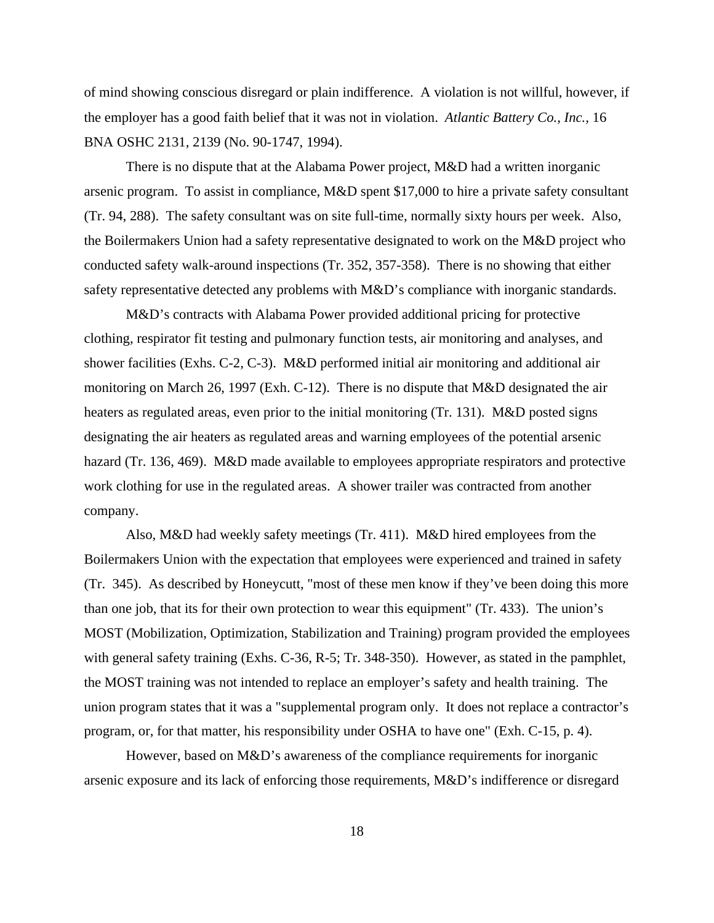of mind showing conscious disregard or plain indifference. A violation is not willful, however, if the employer has a good faith belief that it was not in violation. *Atlantic Battery Co., Inc.,* 16 BNA OSHC 2131, 2139 (No. 90-1747, 1994).

There is no dispute that at the Alabama Power project, M&D had a written inorganic arsenic program. To assist in compliance, M&D spent \$17,000 to hire a private safety consultant (Tr. 94, 288). The safety consultant was on site full-time, normally sixty hours per week. Also, the Boilermakers Union had a safety representative designated to work on the M&D project who conducted safety walk-around inspections (Tr. 352, 357-358). There is no showing that either safety representative detected any problems with M&D's compliance with inorganic standards.

M&D's contracts with Alabama Power provided additional pricing for protective clothing, respirator fit testing and pulmonary function tests, air monitoring and analyses, and shower facilities (Exhs. C-2, C-3). M&D performed initial air monitoring and additional air monitoring on March 26, 1997 (Exh. C-12). There is no dispute that M&D designated the air heaters as regulated areas, even prior to the initial monitoring (Tr. 131). M&D posted signs designating the air heaters as regulated areas and warning employees of the potential arsenic hazard (Tr. 136, 469). M&D made available to employees appropriate respirators and protective work clothing for use in the regulated areas. A shower trailer was contracted from another company.

Also, M&D had weekly safety meetings (Tr. 411). M&D hired employees from the Boilermakers Union with the expectation that employees were experienced and trained in safety (Tr. 345). As described by Honeycutt, "most of these men know if they've been doing this more than one job, that its for their own protection to wear this equipment" (Tr. 433). The union's MOST (Mobilization, Optimization, Stabilization and Training) program provided the employees with general safety training (Exhs. C-36, R-5; Tr. 348-350). However, as stated in the pamphlet, the MOST training was not intended to replace an employer's safety and health training. The union program states that it was a "supplemental program only. It does not replace a contractor's program, or, for that matter, his responsibility under OSHA to have one" (Exh. C-15, p. 4).

However, based on M&D's awareness of the compliance requirements for inorganic arsenic exposure and its lack of enforcing those requirements, M&D's indifference or disregard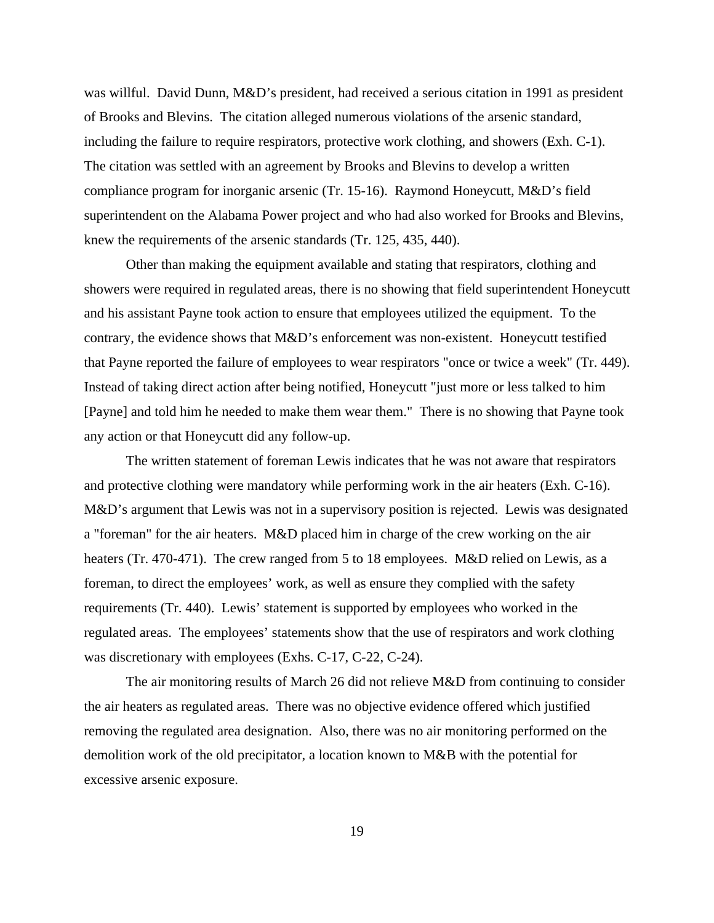was willful. David Dunn, M&D's president, had received a serious citation in 1991 as president of Brooks and Blevins. The citation alleged numerous violations of the arsenic standard, including the failure to require respirators, protective work clothing, and showers (Exh. C-1). The citation was settled with an agreement by Brooks and Blevins to develop a written compliance program for inorganic arsenic (Tr. 15-16). Raymond Honeycutt, M&D's field superintendent on the Alabama Power project and who had also worked for Brooks and Blevins, knew the requirements of the arsenic standards (Tr. 125, 435, 440).

Other than making the equipment available and stating that respirators, clothing and showers were required in regulated areas, there is no showing that field superintendent Honeycutt and his assistant Payne took action to ensure that employees utilized the equipment. To the contrary, the evidence shows that M&D's enforcement was non-existent. Honeycutt testified that Payne reported the failure of employees to wear respirators "once or twice a week" (Tr. 449). Instead of taking direct action after being notified, Honeycutt "just more or less talked to him [Payne] and told him he needed to make them wear them." There is no showing that Payne took any action or that Honeycutt did any follow-up.

The written statement of foreman Lewis indicates that he was not aware that respirators and protective clothing were mandatory while performing work in the air heaters (Exh. C-16). M&D's argument that Lewis was not in a supervisory position is rejected. Lewis was designated a "foreman" for the air heaters. M&D placed him in charge of the crew working on the air heaters (Tr. 470-471). The crew ranged from 5 to 18 employees. M&D relied on Lewis, as a foreman, to direct the employees' work, as well as ensure they complied with the safety requirements (Tr. 440). Lewis' statement is supported by employees who worked in the regulated areas. The employees' statements show that the use of respirators and work clothing was discretionary with employees (Exhs. C-17, C-22, C-24).

The air monitoring results of March 26 did not relieve M&D from continuing to consider the air heaters as regulated areas. There was no objective evidence offered which justified removing the regulated area designation. Also, there was no air monitoring performed on the demolition work of the old precipitator, a location known to M&B with the potential for excessive arsenic exposure.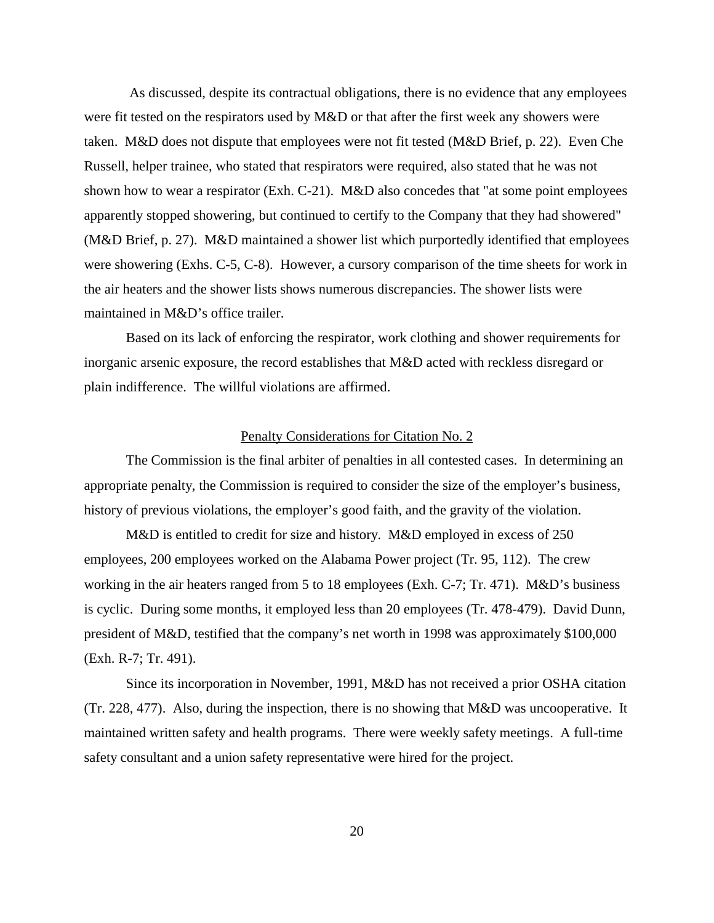As discussed, despite its contractual obligations, there is no evidence that any employees were fit tested on the respirators used by M&D or that after the first week any showers were taken. M&D does not dispute that employees were not fit tested (M&D Brief, p. 22). Even Che Russell, helper trainee, who stated that respirators were required, also stated that he was not shown how to wear a respirator (Exh. C-21). M&D also concedes that "at some point employees apparently stopped showering, but continued to certify to the Company that they had showered" (M&D Brief, p. 27). M&D maintained a shower list which purportedly identified that employees were showering (Exhs. C-5, C-8). However, a cursory comparison of the time sheets for work in the air heaters and the shower lists shows numerous discrepancies. The shower lists were maintained in M&D's office trailer.

Based on its lack of enforcing the respirator, work clothing and shower requirements for inorganic arsenic exposure, the record establishes that M&D acted with reckless disregard or plain indifference. The willful violations are affirmed.

# Penalty Considerations for Citation No. 2

The Commission is the final arbiter of penalties in all contested cases. In determining an appropriate penalty, the Commission is required to consider the size of the employer's business, history of previous violations, the employer's good faith, and the gravity of the violation.

M&D is entitled to credit for size and history. M&D employed in excess of 250 employees, 200 employees worked on the Alabama Power project (Tr. 95, 112). The crew working in the air heaters ranged from 5 to 18 employees (Exh. C-7; Tr. 471). M&D's business is cyclic. During some months, it employed less than 20 employees (Tr. 478-479). David Dunn, president of M&D, testified that the company's net worth in 1998 was approximately \$100,000 (Exh. R-7; Tr. 491).

Since its incorporation in November, 1991, M&D has not received a prior OSHA citation (Tr. 228, 477). Also, during the inspection, there is no showing that M&D was uncooperative. It maintained written safety and health programs. There were weekly safety meetings. A full-time safety consultant and a union safety representative were hired for the project.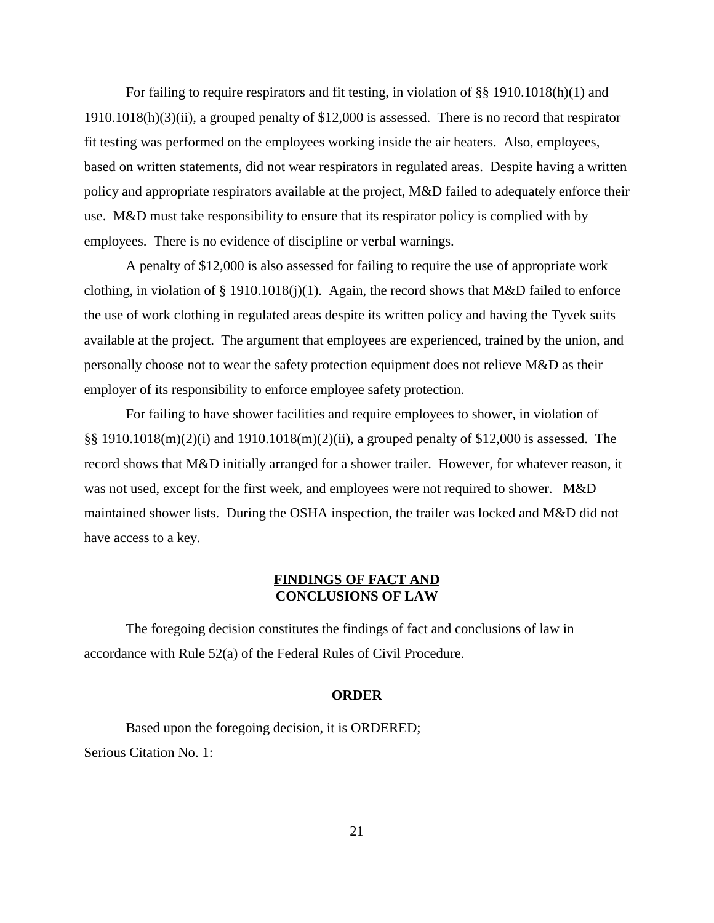For failing to require respirators and fit testing, in violation of §§ 1910.1018(h)(1) and 1910.1018(h)(3)(ii), a grouped penalty of \$12,000 is assessed. There is no record that respirator fit testing was performed on the employees working inside the air heaters. Also, employees, based on written statements, did not wear respirators in regulated areas. Despite having a written policy and appropriate respirators available at the project, M&D failed to adequately enforce their use. M&D must take responsibility to ensure that its respirator policy is complied with by employees. There is no evidence of discipline or verbal warnings.

A penalty of \$12,000 is also assessed for failing to require the use of appropriate work clothing, in violation of § 1910.1018(j)(1). Again, the record shows that M&D failed to enforce the use of work clothing in regulated areas despite its written policy and having the Tyvek suits available at the project. The argument that employees are experienced, trained by the union, and personally choose not to wear the safety protection equipment does not relieve M&D as their employer of its responsibility to enforce employee safety protection.

For failing to have shower facilities and require employees to shower, in violation of §§ 1910.1018(m)(2)(i) and 1910.1018(m)(2)(ii), a grouped penalty of \$12,000 is assessed. The record shows that M&D initially arranged for a shower trailer. However, for whatever reason, it was not used, except for the first week, and employees were not required to shower. M&D maintained shower lists. During the OSHA inspection, the trailer was locked and M&D did not have access to a key.

# **FINDINGS OF FACT AND CONCLUSIONS OF LAW**

The foregoing decision constitutes the findings of fact and conclusions of law in accordance with Rule 52(a) of the Federal Rules of Civil Procedure.

### **ORDER**

Based upon the foregoing decision, it is ORDERED; Serious Citation No. 1: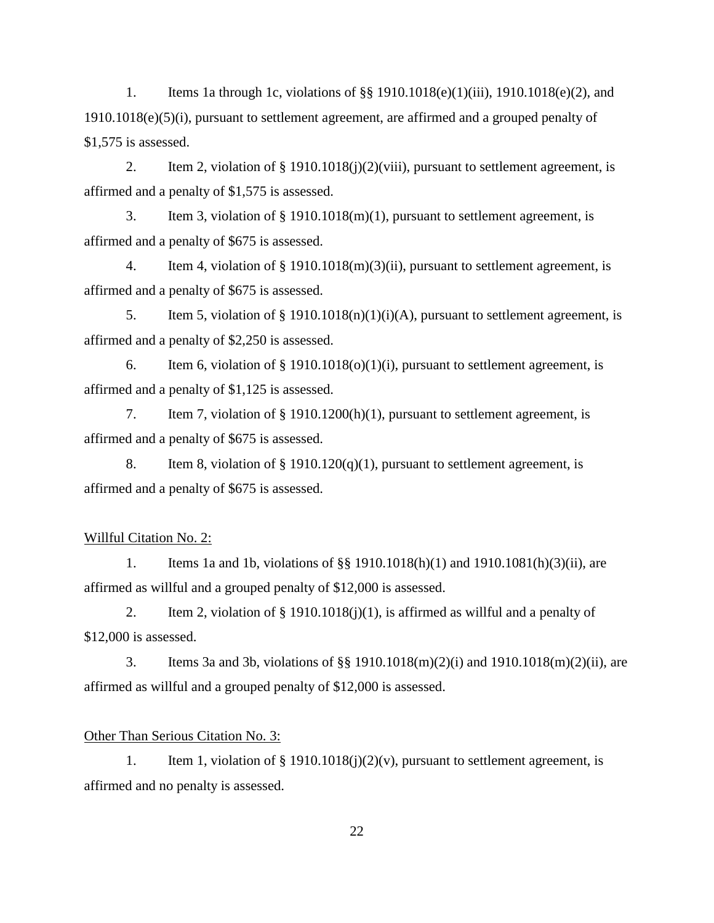1. Items 1a through 1c, violations of §§ 1910.1018(e)(1)(iii), 1910.1018(e)(2), and 1910.1018(e)(5)(i), pursuant to settlement agreement, are affirmed and a grouped penalty of \$1,575 is assessed.

2. Item 2, violation of § 1910.1018(j)(2)(viii), pursuant to settlement agreement, is affirmed and a penalty of \$1,575 is assessed.

3. Item 3, violation of § 1910.1018(m)(1), pursuant to settlement agreement, is affirmed and a penalty of \$675 is assessed.

4. Item 4, violation of § 1910.1018(m)(3)(ii), pursuant to settlement agreement, is affirmed and a penalty of \$675 is assessed.

5. Item 5, violation of  $\S$  1910.1018(n)(1)(i)(A), pursuant to settlement agreement, is affirmed and a penalty of \$2,250 is assessed.

6. Item 6, violation of  $\S$  1910.1018(o)(1)(i), pursuant to settlement agreement, is affirmed and a penalty of \$1,125 is assessed.

7. Item 7, violation of § 1910.1200(h)(1), pursuant to settlement agreement, is affirmed and a penalty of \$675 is assessed.

8. Item 8, violation of  $\S$  1910.120(q)(1), pursuant to settlement agreement, is affirmed and a penalty of \$675 is assessed.

# Willful Citation No. 2:

1. Items 1a and 1b, violations of §§ 1910.1018(h)(1) and 1910.1081(h)(3)(ii), are affirmed as willful and a grouped penalty of \$12,000 is assessed.

2. Item 2, violation of  $\S$  1910.1018(j)(1), is affirmed as willful and a penalty of \$12,000 is assessed.

3. Items 3a and 3b, violations of §§ 1910.1018(m)(2)(i) and 1910.1018(m)(2)(ii), are affirmed as willful and a grouped penalty of \$12,000 is assessed.

### Other Than Serious Citation No. 3:

1. Item 1, violation of  $\S$  1910.1018(j)(2)(v), pursuant to settlement agreement, is affirmed and no penalty is assessed.